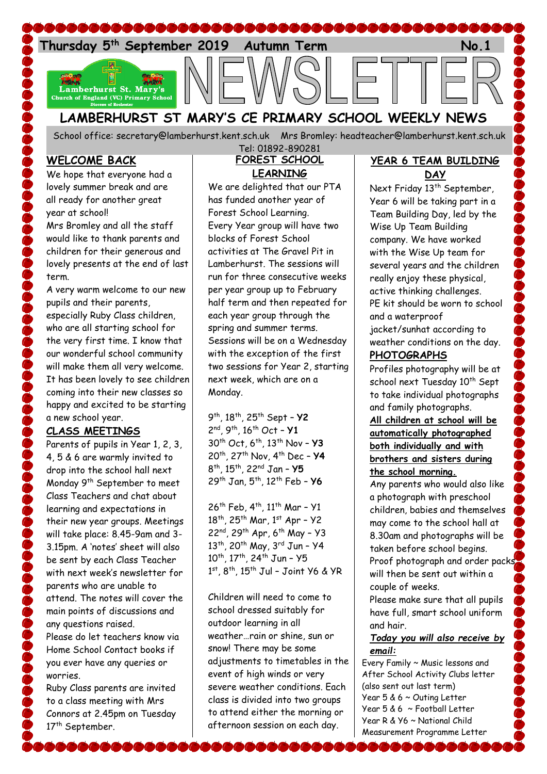

# **LAMBERHURST ST MARY'S CE PRIMARY SCHOOL WEEKLY NEWS**

School office: [secretary@lamberhurst.kent.sch.uk](mailto:secretary@lamberhurst.kent.sch.uk) Mrs Bromley: headteacher@lamberhurst.kent.sch.uk

#### **WELCOME BACK**

We hope that everyone had a lovely summer break and are all ready for another great year at school!

Mrs Bromley and all the staff would like to thank parents and children for their generous and lovely presents at the end of last term.

A very warm welcome to our new pupils and their parents, especially Ruby Class children, who are all starting school for the very first time. I know that our wonderful school community will make them all very welcome. It has been lovely to see children coming into their new classes so happy and excited to be starting a new school year.

#### **CLASS MEETINGS**

Parents of pupils in Year 1, 2, 3, 4, 5 & 6 are warmly invited to drop into the school hall next Monday 9th September to meet Class Teachers and chat about learning and expectations in their new year groups. Meetings will take place: 8.45-9am and 3- 3.15pm. A 'notes' sheet will also be sent by each Class Teacher with next week's newsletter for parents who are unable to attend. The notes will cover the main points of discussions and any questions raised. Please do let teachers know via

Home School Contact books if you ever have any queries or worries.

Ruby Class parents are invited to a class meeting with Mrs Connors at 2.45pm on Tuesday 17<sup>th</sup> September.

#### **FOREST SCHOOL LEARNING** Tel: 01892-890281

We are delighted that our PTA has funded another year of Forest School Learning. Every Year group will have two blocks of Forest School activities at The Gravel Pit in Lamberhurst. The sessions will run for three consecutive weeks per year group up to February half term and then repeated for each year group through the spring and summer terms. Sessions will be on a Wednesday with the exception of the first two sessions for Year 2, starting next week, which are on a Monday.

 th, 18th, 25th Sept – **Y2** nd, 9th, 16th Oct – **Y1** th Oct, 6th, 13th Nov – **Y3** th, 27th Nov, 4th Dec – **Y4** th, 15th, 22nd Jan – **Y5** th Jan, 5th, 12th Feb – **Y6**

26<sup>th</sup> Feb, 4<sup>th</sup>, 11<sup>th</sup> Mar - Y1  $18^{th}$ , 25<sup>th</sup> Mar, 1st Apr - Y2 22<sup>nd</sup>, 29<sup>th</sup> Apr, 6<sup>th</sup> May - Y3 13<sup>th</sup>, 20<sup>th</sup> May, 3<sup>rd</sup> Jun - Y4 10<sup>th</sup>, 17<sup>th</sup>, 24<sup>th</sup> Jun - Y5 1st, 8<sup>th</sup>, 15<sup>th</sup> Jul - Joint Y6 & YR

Children will need to come to school dressed suitably for outdoor learning in all weather…rain or shine, sun or snow! There may be some adjustments to timetables in the event of high winds or very severe weather conditions. Each class is divided into two groups to attend either the morning or afternoon session on each day.

#### **YEAR 6 TEAM BUILDING DAY**

Next Friday 13<sup>th</sup> September, Year 6 will be taking part in a Team Building Day, led by the Wise Up Team Building company. We have worked with the Wise Up team for several years and the children really enjoy these physical, active thinking challenges. PE kit should be worn to school and a waterproof jacket/sunhat according to weather conditions on the day.

### **PHOTOGRAPHS**

Profiles photography will be at school next Tuesday 10<sup>th</sup> Sept to take individual photographs and family photographs.

#### **All children at school will be automatically photographed both individually and with brothers and sisters during the school morning.**

Any parents who would also like a photograph with preschool children, babies and themselves may come to the school hall at 8.30am and photographs will be taken before school begins. Proof photograph and order packs will then be sent out within a couple of weeks.

Please make sure that all pupils have full, smart school uniform and hair.

#### *Today you will also receive by email:*

Every Family ~ Music lessons and After School Activity Clubs letter (also sent out last term) Year 5 & 6 ~ Outing Letter Year 5 & 6 ~ Football Letter Year R & Y6 ~ National Child Measurement Programme Letter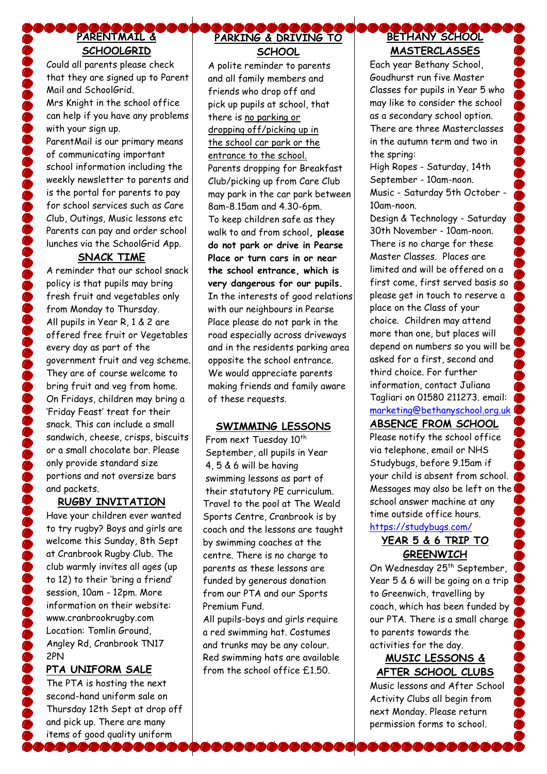# **PARENTMAIL & SCHOOLGRID**

Could all parents please check that they are signed up to Parent Mail and SchoolGrid. Mrs Knight in the school office can help if you have any problems with your sign up. ParentMail is our primary means

of communicating important school information including the weekly newsletter to parents and is the portal for parents to pay for school services such as Care Club, Outings, Music lessons etc Parents can pay and order school lunches via the SchoolGrid App.

### **SNACK TIME**

A reminder that our school snack policy is that pupils may bring fresh fruit and vegetables only from Monday to Thursday. All pupils in Year R, 1 & 2 are offered free fruit or Vegetables every day as part of the government fruit and veg scheme. They are of course welcome to bring fruit and veg from home. On Fridays, children may bring a 'Friday Feast' treat for their snack. This can include a small sandwich, cheese, crisps, biscuits or a small chocolate bar. Please only provide standard size portions and not oversize bars and packets.

### **RUGBY INVITATION**

Have your children ever wanted to try rugby? Boys and girls are welcome this Sunday, 8th Sept at Cranbrook Rugby Club. The club warmly invites all ages (up to 12) to their 'bring a friend' session, 10am - 12pm. More information on their website: www.cranbrookrugby.com Location: Tomlin Ground, Angley Rd, Cranbrook TN17 2PN

### **PTA UNIFORM SALE**

The PTA is hosting the next second-hand uniform sale on Thursday 12th Sept at drop off and pick up. There are many items of good quality uniform 7000000

# **PARKING & DRIVING TO SCHOOL**

A polite reminder to parents and all family members and friends who drop off and pick up pupils at school, that there is no parking or dropping off/picking up in the school car park or the entrance to the school. Parents dropping for Breakfast Club/picking up from Care Club may park in the car park between 8am-8.15am and 4.30-6pm. To keep children safe as they walk to and from school**, please do not park or drive in Pearse Place or turn cars in or near the school entrance, which is very dangerous for our pupils.** In the interests of good relations with our neighbours in Pearse Place please do not park in the road especially across driveways and in the residents parking area opposite the school entrance. We would appreciate parents making friends and family aware of these requests.

### **SWIMMING LESSONS**

From next Tuesday 10<sup>th</sup> September, all pupils in Year 4, 5 & 6 will be having swimming lessons as part of their statutory PE curriculum. Travel to the pool at The Weald Sports Centre, Cranbrook is by coach and the lessons are taught by swimming coaches at the centre. There is no charge to parents as these lessons are funded by generous donation from our PTA and our Sports Premium Fund.

All pupils-boys and girls require a red swimming hat. Costumes and trunks may be any colour. Red swimming hats are available from the school office £1.50.

# **BETHANY SCHOOL MASTERCLASSES**

Each year Bethany School, Goudhurst run five Master Classes for pupils in Year 5 who may like to consider the school as a secondary school option. There are three Masterclasses in the autumn term and two in the spring:

High Ropes - Saturday, 14th September - 10am-noon. Music - Saturday 5th October - 10am-noon.

Design & Technology - Saturday 30th November - 10am-noon. There is no charge for these Master Classes. Places are limited and will be offered on a first come, first served basis so please get in touch to reserve a place on the Class of your choice. Children may attend more than one, but places will depend on numbers so you will be asked for a first, second and third choice. For further information, contact Juliana Tagliari on 01580 211273. email: [marketing@bethanyschool.org.uk](mailto:marketing@bethanyschool.org.uk)

# **ABSENCE FROM SCHOOL**

Please notify the school office via telephone, email or NHS Studybugs, before 9.15am if your child is absent from school. Messages may also be left on the school answer machine at any time outside office hours. <https://studybugs.com/>

### **YEAR 5 & 6 TRIP TO GREENWICH**

On Wednesday 25<sup>th</sup> September, Year 5 & 6 will be going on a trip to Greenwich, travelling by coach, which has been funded by our PTA. There is a small charge to parents towards the activities for the day.

### **MUSIC LESSONS & AFTER SCHOOL CLUBS**

Music lessons and After School Activity Clubs all begin from next Monday. Please return permission forms to school.